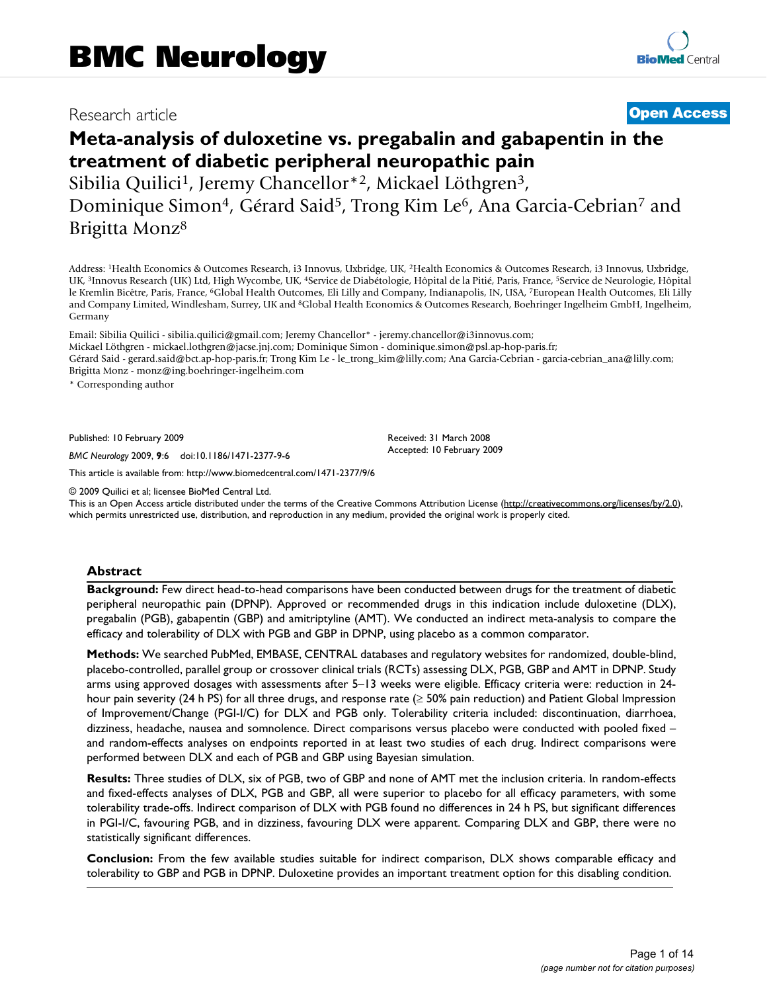# Research article **[Open Access](http://www.biomedcentral.com/info/about/charter/)**

# **Meta-analysis of duloxetine vs. pregabalin and gabapentin in the treatment of diabetic peripheral neuropathic pain**

Sibilia Quilici<sup>1</sup>, Jeremy Chancellor<sup>\*2</sup>, Mickael Löthgren<sup>3</sup>, Dominique Simon<sup>4</sup>, Gérard Said<sup>5</sup>, Trong Kim Le<sup>6</sup>, Ana Garcia-Cebrian<sup>7</sup> and Brigitta Monz8

Address: 1Health Economics & Outcomes Research, i3 Innovus, Uxbridge, UK, 2Health Economics & Outcomes Research, i3 Innovus, Uxbridge, UK, 3Innovus Research (UK) Ltd, High Wycombe, UK, 4Service de Diabétologie, Hôpital de la Pitié, Paris, France, 5Service de Neurologie, Hôpital le Kremlin Bicêtre, Paris, France, 6Global Health Outcomes, Eli Lilly and Company, Indianapolis, IN, USA, 7European Health Outcomes, Eli Lilly and Company Limited, Windlesham, Surrey, UK and 8Global Health Economics & Outcomes Research, Boehringer Ingelheim GmbH, Ingelheim, Germany

Email: Sibilia Quilici - sibilia.quilici@gmail.com; Jeremy Chancellor\* - jeremy.chancellor@i3innovus.com; Mickael Löthgren - mickael.lothgren@jacse.jnj.com; Dominique Simon - dominique.simon@psl.ap-hop-paris.fr; Gérard Said - gerard.said@bct.ap-hop-paris.fr; Trong Kim Le - le\_trong\_kim@lilly.com; Ana Garcia-Cebrian - garcia-cebrian\_ana@lilly.com; Brigitta Monz - monz@ing.boehringer-ingelheim.com

\* Corresponding author

Published: 10 February 2009

*BMC Neurology* 2009, **9**:6 doi:10.1186/1471-2377-9-6

[This article is available from: http://www.biomedcentral.com/1471-2377/9/6](http://www.biomedcentral.com/1471-2377/9/6)

© 2009 Quilici et al; licensee BioMed Central Ltd.

This is an Open Access article distributed under the terms of the Creative Commons Attribution License [\(http://creativecommons.org/licenses/by/2.0\)](http://creativecommons.org/licenses/by/2.0), which permits unrestricted use, distribution, and reproduction in any medium, provided the original work is properly cited.

Received: 31 March 2008 Accepted: 10 February 2009

#### **Abstract**

**Background:** Few direct head-to-head comparisons have been conducted between drugs for the treatment of diabetic peripheral neuropathic pain (DPNP). Approved or recommended drugs in this indication include duloxetine (DLX), pregabalin (PGB), gabapentin (GBP) and amitriptyline (AMT). We conducted an indirect meta-analysis to compare the efficacy and tolerability of DLX with PGB and GBP in DPNP, using placebo as a common comparator.

**Methods:** We searched PubMed, EMBASE, CENTRAL databases and regulatory websites for randomized, double-blind, placebo-controlled, parallel group or crossover clinical trials (RCTs) assessing DLX, PGB, GBP and AMT in DPNP. Study arms using approved dosages with assessments after 5–13 weeks were eligible. Efficacy criteria were: reduction in 24 hour pain severity (24 h PS) for all three drugs, and response rate (≥ 50% pain reduction) and Patient Global Impression of Improvement/Change (PGI-I/C) for DLX and PGB only. Tolerability criteria included: discontinuation, diarrhoea, dizziness, headache, nausea and somnolence. Direct comparisons versus placebo were conducted with pooled fixed – and random-effects analyses on endpoints reported in at least two studies of each drug. Indirect comparisons were performed between DLX and each of PGB and GBP using Bayesian simulation.

**Results:** Three studies of DLX, six of PGB, two of GBP and none of AMT met the inclusion criteria. In random-effects and fixed-effects analyses of DLX, PGB and GBP, all were superior to placebo for all efficacy parameters, with some tolerability trade-offs. Indirect comparison of DLX with PGB found no differences in 24 h PS, but significant differences in PGI-I/C, favouring PGB, and in dizziness, favouring DLX were apparent. Comparing DLX and GBP, there were no statistically significant differences.

**Conclusion:** From the few available studies suitable for indirect comparison, DLX shows comparable efficacy and tolerability to GBP and PGB in DPNP. Duloxetine provides an important treatment option for this disabling condition.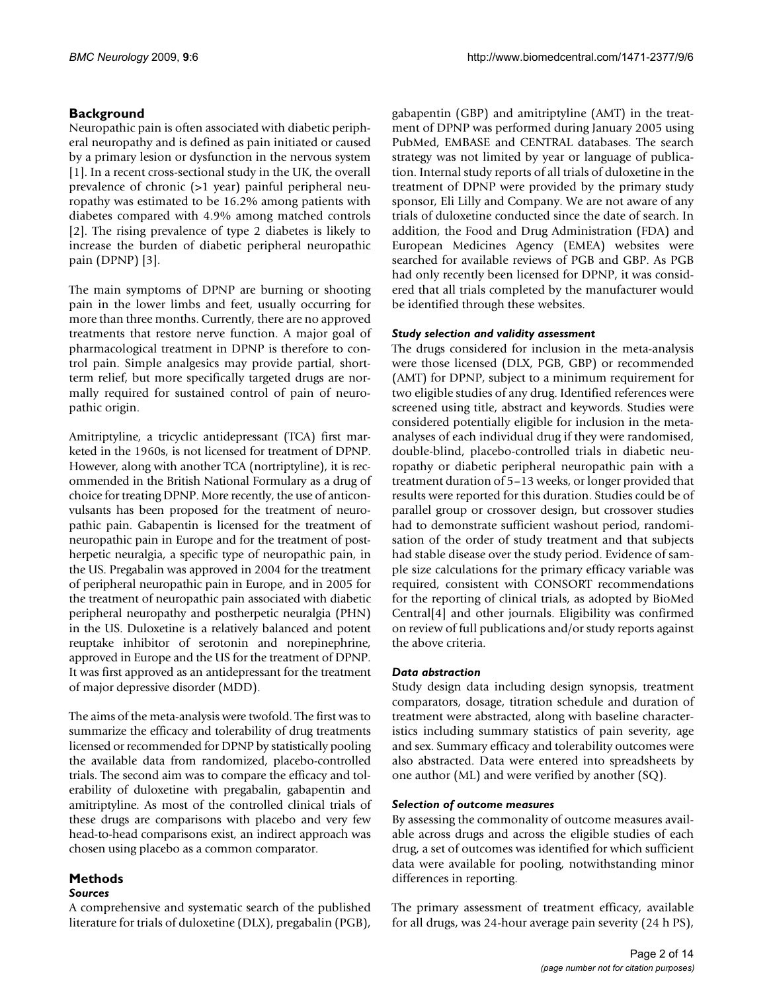# **Background**

Neuropathic pain is often associated with diabetic peripheral neuropathy and is defined as pain initiated or caused by a primary lesion or dysfunction in the nervous system [1]. In a recent cross-sectional study in the UK, the overall prevalence of chronic (>1 year) painful peripheral neuropathy was estimated to be 16.2% among patients with diabetes compared with 4.9% among matched controls [2]. The rising prevalence of type 2 diabetes is likely to increase the burden of diabetic peripheral neuropathic pain (DPNP) [3].

The main symptoms of DPNP are burning or shooting pain in the lower limbs and feet, usually occurring for more than three months. Currently, there are no approved treatments that restore nerve function. A major goal of pharmacological treatment in DPNP is therefore to control pain. Simple analgesics may provide partial, shortterm relief, but more specifically targeted drugs are normally required for sustained control of pain of neuropathic origin.

Amitriptyline, a tricyclic antidepressant (TCA) first marketed in the 1960s, is not licensed for treatment of DPNP. However, along with another TCA (nortriptyline), it is recommended in the British National Formulary as a drug of choice for treating DPNP. More recently, the use of anticonvulsants has been proposed for the treatment of neuropathic pain. Gabapentin is licensed for the treatment of neuropathic pain in Europe and for the treatment of postherpetic neuralgia, a specific type of neuropathic pain, in the US. Pregabalin was approved in 2004 for the treatment of peripheral neuropathic pain in Europe, and in 2005 for the treatment of neuropathic pain associated with diabetic peripheral neuropathy and postherpetic neuralgia (PHN) in the US. Duloxetine is a relatively balanced and potent reuptake inhibitor of serotonin and norepinephrine, approved in Europe and the US for the treatment of DPNP. It was first approved as an antidepressant for the treatment of major depressive disorder (MDD).

The aims of the meta-analysis were twofold. The first was to summarize the efficacy and tolerability of drug treatments licensed or recommended for DPNP by statistically pooling the available data from randomized, placebo-controlled trials. The second aim was to compare the efficacy and tolerability of duloxetine with pregabalin, gabapentin and amitriptyline. As most of the controlled clinical trials of these drugs are comparisons with placebo and very few head-to-head comparisons exist, an indirect approach was chosen using placebo as a common comparator.

# **Methods**

#### *Sources*

A comprehensive and systematic search of the published literature for trials of duloxetine (DLX), pregabalin (PGB),

gabapentin (GBP) and amitriptyline (AMT) in the treatment of DPNP was performed during January 2005 using PubMed, EMBASE and CENTRAL databases. The search strategy was not limited by year or language of publication. Internal study reports of all trials of duloxetine in the treatment of DPNP were provided by the primary study sponsor, Eli Lilly and Company. We are not aware of any trials of duloxetine conducted since the date of search. In addition, the Food and Drug Administration (FDA) and European Medicines Agency (EMEA) websites were searched for available reviews of PGB and GBP. As PGB had only recently been licensed for DPNP, it was considered that all trials completed by the manufacturer would be identified through these websites.

# *Study selection and validity assessment*

The drugs considered for inclusion in the meta-analysis were those licensed (DLX, PGB, GBP) or recommended (AMT) for DPNP, subject to a minimum requirement for two eligible studies of any drug. Identified references were screened using title, abstract and keywords. Studies were considered potentially eligible for inclusion in the metaanalyses of each individual drug if they were randomised, double-blind, placebo-controlled trials in diabetic neuropathy or diabetic peripheral neuropathic pain with a treatment duration of 5–13 weeks, or longer provided that results were reported for this duration. Studies could be of parallel group or crossover design, but crossover studies had to demonstrate sufficient washout period, randomisation of the order of study treatment and that subjects had stable disease over the study period. Evidence of sample size calculations for the primary efficacy variable was required, consistent with CONSORT recommendations for the reporting of clinical trials, as adopted by BioMed Central[4] and other journals. Eligibility was confirmed on review of full publications and/or study reports against the above criteria.

# *Data abstraction*

Study design data including design synopsis, treatment comparators, dosage, titration schedule and duration of treatment were abstracted, along with baseline characteristics including summary statistics of pain severity, age and sex. Summary efficacy and tolerability outcomes were also abstracted. Data were entered into spreadsheets by one author (ML) and were verified by another (SQ).

#### *Selection of outcome measures*

By assessing the commonality of outcome measures available across drugs and across the eligible studies of each drug, a set of outcomes was identified for which sufficient data were available for pooling, notwithstanding minor differences in reporting.

The primary assessment of treatment efficacy, available for all drugs, was 24-hour average pain severity (24 h PS),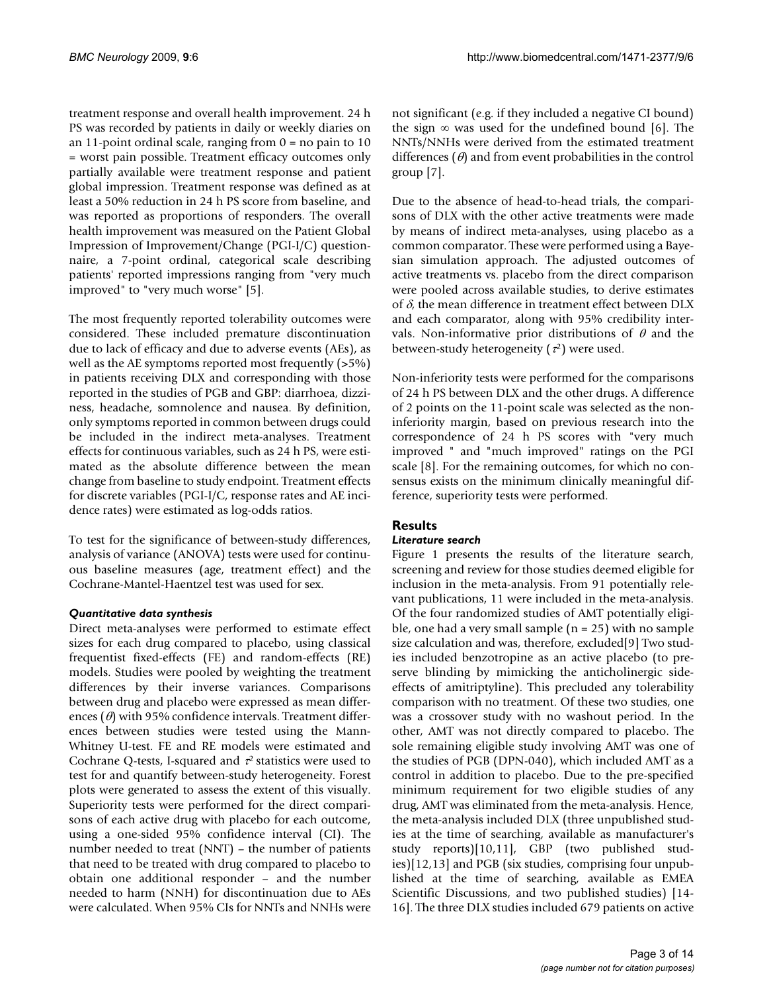treatment response and overall health improvement. 24 h PS was recorded by patients in daily or weekly diaries on an 11-point ordinal scale, ranging from  $0 =$  no pain to 10 = worst pain possible. Treatment efficacy outcomes only partially available were treatment response and patient global impression. Treatment response was defined as at least a 50% reduction in 24 h PS score from baseline, and was reported as proportions of responders. The overall health improvement was measured on the Patient Global Impression of Improvement/Change (PGI-I/C) questionnaire, a 7-point ordinal, categorical scale describing patients' reported impressions ranging from "very much improved" to "very much worse" [5].

The most frequently reported tolerability outcomes were considered. These included premature discontinuation due to lack of efficacy and due to adverse events (AEs), as well as the AE symptoms reported most frequently (>5%) in patients receiving DLX and corresponding with those reported in the studies of PGB and GBP: diarrhoea, dizziness, headache, somnolence and nausea. By definition, only symptoms reported in common between drugs could be included in the indirect meta-analyses. Treatment effects for continuous variables, such as 24 h PS, were estimated as the absolute difference between the mean change from baseline to study endpoint. Treatment effects for discrete variables (PGI-I/C, response rates and AE incidence rates) were estimated as log-odds ratios.

To test for the significance of between-study differences, analysis of variance (ANOVA) tests were used for continuous baseline measures (age, treatment effect) and the Cochrane-Mantel-Haentzel test was used for sex.

# *Quantitative data synthesis*

Direct meta-analyses were performed to estimate effect sizes for each drug compared to placebo, using classical frequentist fixed-effects (FE) and random-effects (RE) models. Studies were pooled by weighting the treatment differences by their inverse variances. Comparisons between drug and placebo were expressed as mean differences ( $\theta$ ) with 95% confidence intervals. Treatment differences between studies were tested using the Mann-Whitney U-test. FE and RE models were estimated and Cochrane Q-tests, I-squared and  $\tau^2$  statistics were used to test for and quantify between-study heterogeneity. Forest plots were generated to assess the extent of this visually. Superiority tests were performed for the direct comparisons of each active drug with placebo for each outcome, using a one-sided 95% confidence interval (CI). The number needed to treat (NNT) – the number of patients that need to be treated with drug compared to placebo to obtain one additional responder – and the number needed to harm (NNH) for discontinuation due to AEs were calculated. When 95% CIs for NNTs and NNHs were not significant (e.g. if they included a negative CI bound) the sign  $\infty$  was used for the undefined bound [6]. The NNTs/NNHs were derived from the estimated treatment differences  $(\theta)$  and from event probabilities in the control group [7].

Due to the absence of head-to-head trials, the comparisons of DLX with the other active treatments were made by means of indirect meta-analyses, using placebo as a common comparator. These were performed using a Bayesian simulation approach. The adjusted outcomes of active treatments vs. placebo from the direct comparison were pooled across available studies, to derive estimates of  $\delta$ , the mean difference in treatment effect between DLX and each comparator, along with 95% credibility intervals. Non-informative prior distributions of  $\theta$  and the between-study heterogeneity  $(\tau^2)$  were used.

Non-inferiority tests were performed for the comparisons of 24 h PS between DLX and the other drugs. A difference of 2 points on the 11-point scale was selected as the noninferiority margin, based on previous research into the correspondence of 24 h PS scores with "very much improved " and "much improved" ratings on the PGI scale [8]. For the remaining outcomes, for which no consensus exists on the minimum clinically meaningful difference, superiority tests were performed.

# **Results**

# *Literature search*

Figure 1 presents the results of the literature search, screening and review for those studies deemed eligible for inclusion in the meta-analysis. From 91 potentially relevant publications, 11 were included in the meta-analysis. Of the four randomized studies of AMT potentially eligible, one had a very small sample  $(n = 25)$  with no sample size calculation and was, therefore, excluded[9] Two studies included benzotropine as an active placebo (to preserve blinding by mimicking the anticholinergic sideeffects of amitriptyline). This precluded any tolerability comparison with no treatment. Of these two studies, one was a crossover study with no washout period. In the other, AMT was not directly compared to placebo. The sole remaining eligible study involving AMT was one of the studies of PGB (DPN-040), which included AMT as a control in addition to placebo. Due to the pre-specified minimum requirement for two eligible studies of any drug, AMT was eliminated from the meta-analysis. Hence, the meta-analysis included DLX (three unpublished studies at the time of searching, available as manufacturer's study reports)[10,11], GBP (two published studies)[12,13] and PGB (six studies, comprising four unpublished at the time of searching, available as EMEA Scientific Discussions, and two published studies) [14- 16]. The three DLX studies included 679 patients on active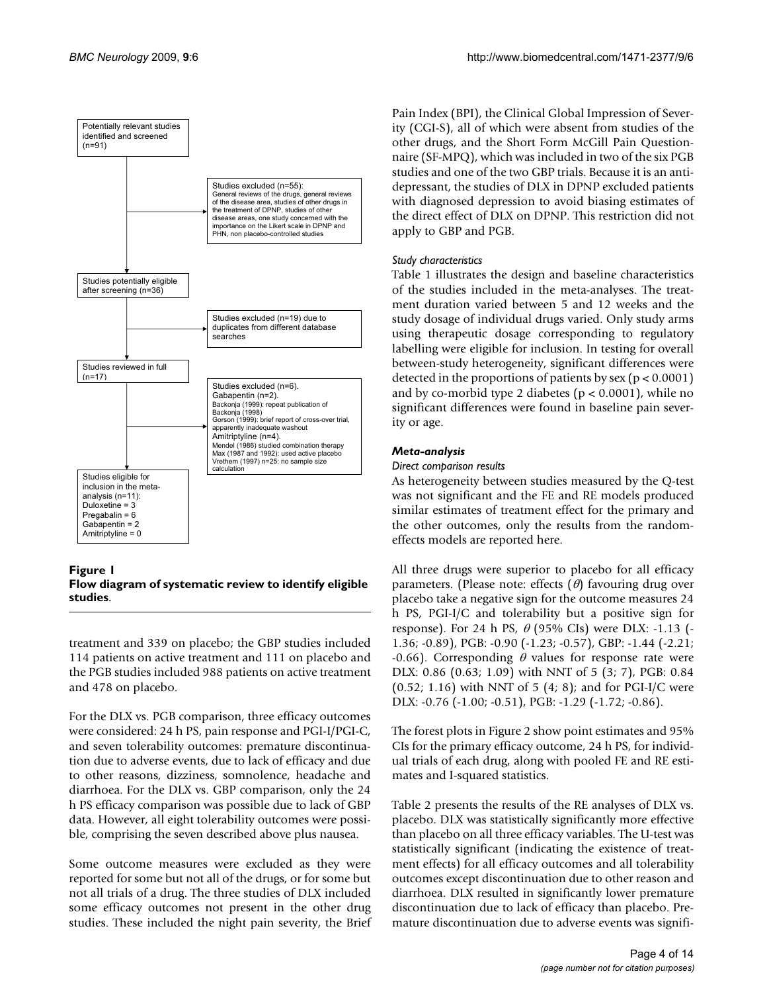



treatment and 339 on placebo; the GBP studies included 114 patients on active treatment and 111 on placebo and the PGB studies included 988 patients on active treatment and 478 on placebo.

For the DLX vs. PGB comparison, three efficacy outcomes were considered: 24 h PS, pain response and PGI-I/PGI-C, and seven tolerability outcomes: premature discontinuation due to adverse events, due to lack of efficacy and due to other reasons, dizziness, somnolence, headache and diarrhoea. For the DLX vs. GBP comparison, only the 24 h PS efficacy comparison was possible due to lack of GBP data. However, all eight tolerability outcomes were possible, comprising the seven described above plus nausea.

Some outcome measures were excluded as they were reported for some but not all of the drugs, or for some but not all trials of a drug. The three studies of DLX included some efficacy outcomes not present in the other drug studies. These included the night pain severity, the Brief Pain Index (BPI), the Clinical Global Impression of Severity (CGI-S), all of which were absent from studies of the other drugs, and the Short Form McGill Pain Questionnaire (SF-MPQ), which was included in two of the six PGB studies and one of the two GBP trials. Because it is an antidepressant, the studies of DLX in DPNP excluded patients with diagnosed depression to avoid biasing estimates of the direct effect of DLX on DPNP. This restriction did not apply to GBP and PGB.

#### *Study characteristics*

Table 1 illustrates the design and baseline characteristics of the studies included in the meta-analyses. The treatment duration varied between 5 and 12 weeks and the study dosage of individual drugs varied. Only study arms using therapeutic dosage corresponding to regulatory labelling were eligible for inclusion. In testing for overall between-study heterogeneity, significant differences were detected in the proportions of patients by sex ( $p < 0.0001$ ) and by co-morbid type 2 diabetes ( $p < 0.0001$ ), while no significant differences were found in baseline pain severity or age.

#### *Meta-analysis*

#### *Direct comparison results*

As heterogeneity between studies measured by the Q-test was not significant and the FE and RE models produced similar estimates of treatment effect for the primary and the other outcomes, only the results from the randomeffects models are reported here.

All three drugs were superior to placebo for all efficacy parameters. (Please note: effects  $(\theta)$  favouring drug over placebo take a negative sign for the outcome measures 24 h PS, PGI-I/C and tolerability but a positive sign for response). For 24 h PS,  $\theta$  (95% CIs) were DLX: -1.13 (-1.36; -0.89), PGB: -0.90 (-1.23; -0.57), GBP: -1.44 (-2.21; -0.66). Corresponding  $\theta$  values for response rate were DLX: 0.86 (0.63; 1.09) with NNT of 5 (3; 7), PGB: 0.84  $(0.52; 1.16)$  with NNT of 5  $(4; 8)$ ; and for PGI-I/C were DLX: -0.76 (-1.00; -0.51), PGB: -1.29 (-1.72; -0.86).

The forest plots in Figure 2 show point estimates and 95% CIs for the primary efficacy outcome, 24 h PS, for individual trials of each drug, along with pooled FE and RE estimates and I-squared statistics.

Table 2 presents the results of the RE analyses of DLX vs. placebo. DLX was statistically significantly more effective than placebo on all three efficacy variables. The U-test was statistically significant (indicating the existence of treatment effects) for all efficacy outcomes and all tolerability outcomes except discontinuation due to other reason and diarrhoea. DLX resulted in significantly lower premature discontinuation due to lack of efficacy than placebo. Premature discontinuation due to adverse events was signifi-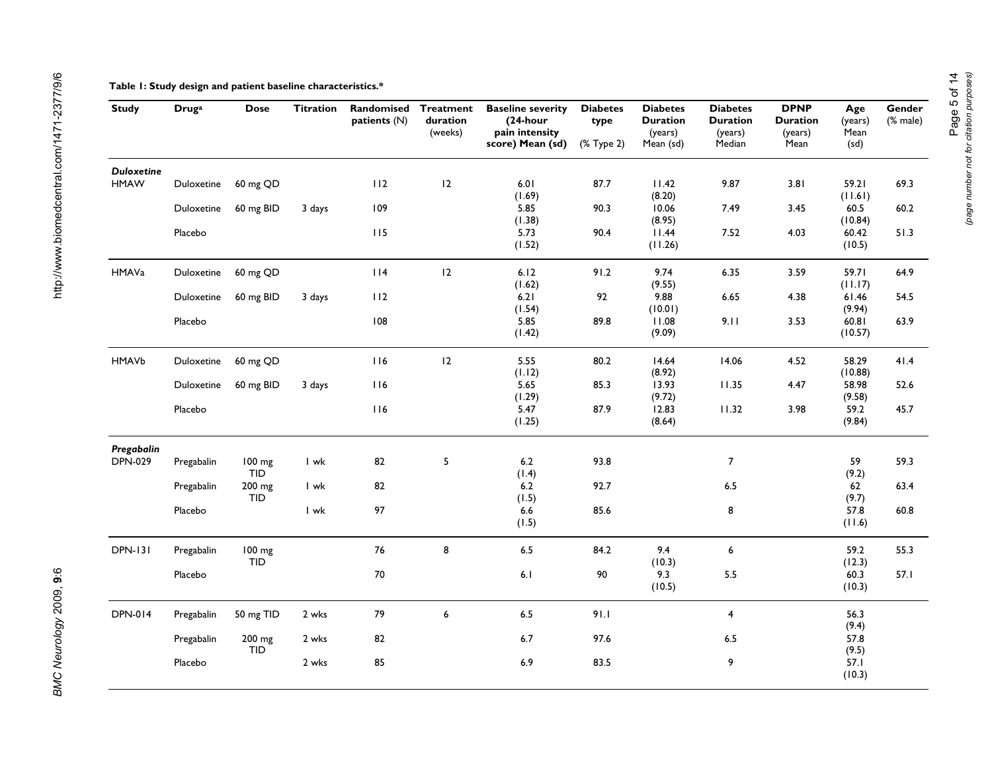| uuy Drug" |                     | Dose                 | i itration | Rangor<br>patient |
|-----------|---------------------|----------------------|------------|-------------------|
| uloxetine |                     |                      |            |                   |
| MAW       | Duloxetine 60 mg QD |                      |            | Ш                 |
|           |                     | Duloxetine 60 mg BID | 3 days     | 10                |
|           | Placebo             |                      |            | Н,                |
|           |                     |                      |            |                   |
| MAVa      | Duloxetine 60 mg QD |                      |            | Н٠                |
|           |                     | Duloxetine 60 mg BID | 3 days     | ПI                |
|           | Placebo             |                      |            | 10                |
|           |                     |                      |            |                   |
| MAVb      | Duloxetine 60 mg QD |                      |            | Ш                 |
|           |                     | Duloxetine 60 mg BID | 3 days     | Н                 |
|           |                     |                      |            |                   |

**Table 1: Study design and patient baseline characteristics.\***

| <b>Study</b>                 | <b>Druga</b> | <b>Dose</b>            | <b>Titration</b> | Randomised Treatment<br>patients (N) | duration<br>(weeks) | <b>Baseline severity</b><br>(24-hour<br>pain intensity<br>score) Mean (sd) | <b>Diabetes</b><br>type<br>(% Type 2) | <b>Diabetes</b><br><b>Duration</b><br>(years)<br>Mean (sd) | <b>Diabetes</b><br><b>Duration</b><br>(years)<br>Median | <b>DPNP</b><br><b>Duration</b><br>(years)<br>Mean | Age<br>(years)<br>Mean<br>(sd) | Gender<br>$(% \mathcal{L}_{0})$ male) |
|------------------------------|--------------|------------------------|------------------|--------------------------------------|---------------------|----------------------------------------------------------------------------|---------------------------------------|------------------------------------------------------------|---------------------------------------------------------|---------------------------------------------------|--------------------------------|---------------------------------------|
| <b>Duloxetine</b>            |              |                        |                  |                                      |                     |                                                                            |                                       |                                                            |                                                         |                                                   |                                |                                       |
| <b>HMAW</b>                  | Duloxetine   | 60 mg QD               |                  | 112                                  | 12                  | 6.01<br>(1.69)                                                             | 87.7                                  | 11.42<br>(8.20)                                            | 9.87                                                    | 3.81                                              | 59.21<br>(11.61)               | 69.3                                  |
|                              | Duloxetine   | 60 mg BID              | 3 days           | 109                                  |                     | 5.85<br>(1.38)                                                             | 90.3                                  | 10.06<br>(8.95)                                            | 7.49                                                    | 3.45                                              | 60.5<br>(10.84)                | 60.2                                  |
|                              | Placebo      |                        |                  | 115                                  |                     | 5.73<br>(1.52)                                                             | 90.4                                  | 11.44<br>(11.26)                                           | 7.52                                                    | 4.03                                              | 60.42<br>(10.5)                | 51.3                                  |
| HMAVa                        | Duloxetine   | 60 mg QD               |                  | 114                                  | 12                  | 6.12<br>(1.62)                                                             | 91.2                                  | 9.74<br>(9.55)                                             | 6.35                                                    | 3.59                                              | 59.71<br>(11.17)               | 64.9                                  |
|                              | Duloxetine   | 60 mg BID              | 3 days           | 112                                  |                     | 6.21<br>(1.54)                                                             | 92                                    | 9.88<br>(10.01)                                            | 6.65                                                    | 4.38                                              | 61.46<br>(9.94)                | 54.5                                  |
|                              | Placebo      |                        |                  | 108                                  |                     | 5.85<br>(1.42)                                                             | 89.8                                  | 11.08<br>(9.09)                                            | 9.11                                                    | 3.53                                              | 60.81<br>(10.57)               | 63.9                                  |
| <b>HMAVb</b>                 | Duloxetine   | 60 mg QD               |                  | 116                                  | 12                  | 5.55<br>(1.12)                                                             | 80.2                                  | 14.64<br>(8.92)                                            | 14.06                                                   | 4.52                                              | 58.29<br>(10.88)               | 41.4                                  |
|                              | Duloxetine   | 60 mg BID              | 3 days           | 116                                  |                     | 5.65<br>(1.29)                                                             | 85.3                                  | 13.93<br>(9.72)                                            | 11.35                                                   | 4.47                                              | 58.98<br>(9.58)                | 52.6                                  |
|                              | Placebo      |                        |                  | 116                                  |                     | 5.47<br>(1.25)                                                             | 87.9                                  | 12.83<br>(8.64)                                            | 11.32                                                   | 3.98                                              | 59.2<br>(9.84)                 | 45.7                                  |
| Pregabalin<br><b>DPN-029</b> | Pregabalin   | $100$ mg<br><b>TID</b> | I wk             | 82                                   | 5                   | 6.2<br>(1.4)                                                               | 93.8                                  |                                                            | $\overline{7}$                                          |                                                   | 59<br>(9.2)                    | 59.3                                  |
|                              | Pregabalin   | 200 mg<br><b>TID</b>   | I wk             | 82                                   |                     | 6.2<br>(1.5)                                                               | 92.7                                  |                                                            | $6.5\,$                                                 |                                                   | 62<br>(9.7)                    | 63.4                                  |
|                              | Placebo      |                        | I wk             | $97\,$                               |                     | $6.6$<br>(1.5)                                                             | 85.6                                  |                                                            | 8                                                       |                                                   | 57.8<br>(11.6)                 | 60.8                                  |
| <b>DPN-131</b>               | Pregabalin   | 100 mg<br>TID          |                  | 76                                   | 8                   | 6.5                                                                        | 84.2                                  | 9.4<br>(10.3)                                              | 6                                                       |                                                   | 59.2<br>(12.3)                 | 55.3                                  |
|                              | Placebo      |                        |                  | $70\,$                               |                     | 6.1                                                                        | $90\,$                                | 9.3<br>(10.5)                                              | $5.5\,$                                                 |                                                   | 60.3<br>(10.3)                 | 57.1                                  |
| DPN-014                      | Pregabalin   | 50 mg TID              | 2 wks            | 79                                   | $6\phantom{a}$      | $6.5\,$                                                                    | 91.1                                  |                                                            | $\overline{\mathbf{4}}$                                 |                                                   | 56.3<br>(9.4)                  |                                       |
|                              | Pregabalin   | 200 mg<br><b>TID</b>   | 2 wks            | 82                                   |                     | 6.7                                                                        | 97.6                                  |                                                            | $6.5\,$                                                 |                                                   | 57.8<br>(9.5)                  |                                       |
|                              | Placebo      |                        | 2 wks            | 85                                   |                     | 6.9                                                                        | 83.5                                  |                                                            | 9                                                       |                                                   | 57.1<br>(10.3)                 |                                       |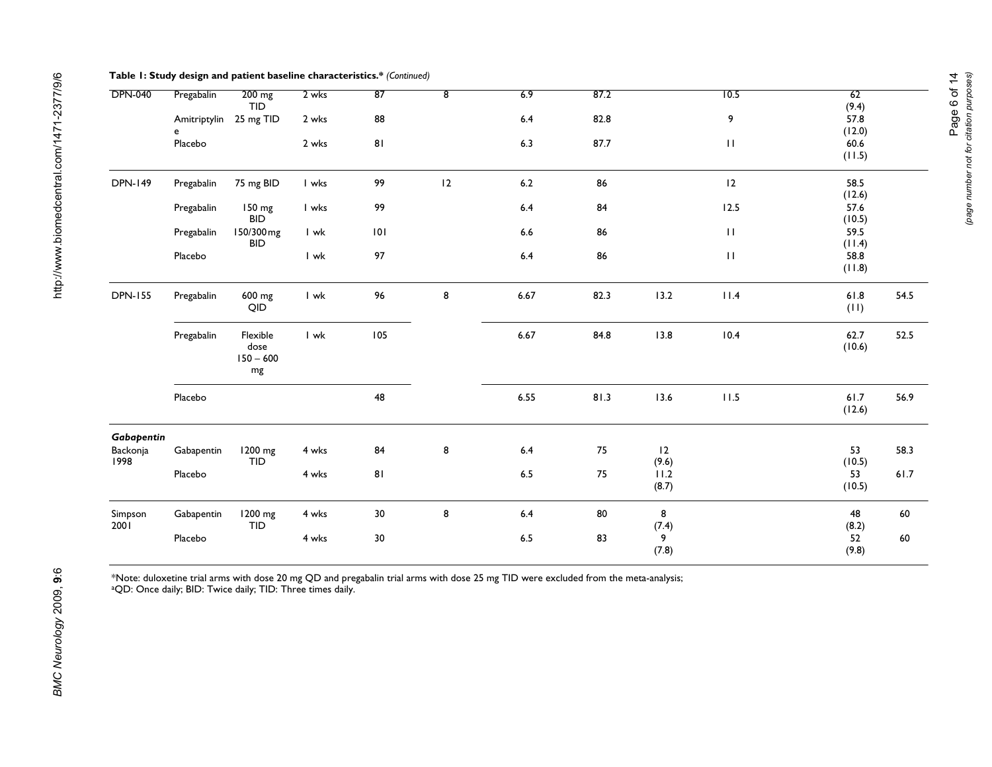| <b>DPN-040</b>   | Pregabalin                  | $200 \text{ mg}$<br><b>TID</b>        | 2 wks | 87  | 8  | 6.9     | 87.2 |               | 10.5         | 62<br>(9.4)    |      |
|------------------|-----------------------------|---------------------------------------|-------|-----|----|---------|------|---------------|--------------|----------------|------|
|                  | Amitriptylin 25 mg TID<br>e |                                       | 2 wks | 88  |    | 6.4     | 82.8 |               | 9            | 57.8<br>(12.0) |      |
|                  | Placebo                     |                                       | 2 wks | 81  |    | 6.3     | 87.7 |               | $\mathbf{H}$ | 60.6<br>(11.5) |      |
| <b>DPN-149</b>   | Pregabalin                  | 75 mg BID                             | I wks | 99  | 12 | $6.2\,$ | 86   |               | $ 2\rangle$  | 58.5<br>(12.6) |      |
|                  | Pregabalin                  | 150 mg<br><b>BID</b>                  | I wks | 99  |    | 6.4     | 84   |               | 12.5         | 57.6<br>(10.5) |      |
|                  | Pregabalin                  | 150/300 mg<br><b>BID</b>              | I wk  | 0   |    | $6.6\,$ | 86   |               | $\mathbf{H}$ | 59.5<br>(11.4) |      |
|                  | Placebo                     |                                       | I wk  | 97  |    | 6.4     | 86   |               | $\mathbf{H}$ | 58.8<br>(11.8) |      |
| <b>DPN-155</b>   | Pregabalin                  | 600 mg<br>QID                         | I wk  | 96  | 8  | 6.67    | 82.3 | 13.2          | 11.4         | $61.8$<br>(11) | 54.5 |
|                  | Pregabalin                  | Flexible<br>dose<br>$150 - 600$<br>mg | I wk  | 105 |    | 6.67    | 84.8 | 13.8          | 10.4         | 62.7<br>(10.6) | 52.5 |
|                  | Placebo                     |                                       |       | 48  |    | 6.55    | 81.3 | 13.6          | 11.5         | 61.7<br>(12.6) | 56.9 |
| Gabapentin       |                             |                                       |       |     |    |         |      |               |              |                |      |
| Backonja<br>1998 | Gabapentin                  | 1200 mg<br><b>TID</b>                 | 4 wks | 84  | 8  | 6.4     | 75   | 12<br>(9.6)   |              | 53<br>(10.5)   | 58.3 |
|                  | Placebo                     |                                       | 4 wks | 81  |    | $6.5\,$ | 75   | 11.2<br>(8.7) |              | 53<br>(10.5)   | 61.7 |
| Simpson<br>2001  | Gabapentin                  | 1200 mg<br><b>TID</b>                 | 4 wks | 30  | 8  | 6.4     | 80   | 8<br>(7.4)    |              | 48<br>(8.2)    | 60   |
|                  | Placebo                     |                                       | 4 wks | 30  |    | $6.5\,$ | 83   | 9<br>(7.8)    |              | 52<br>(9.8)    | 60   |

#### **Table 1: Study design and patient baseline characteristics.\*** *(Continued)*

\*Note: duloxetine trial arms with dose 20 mg QD and pregabalin trial arms with dose 25 mg TID were excluded from the meta-analysis; aQD: Once daily; BID: Twice daily; TID: Three times daily.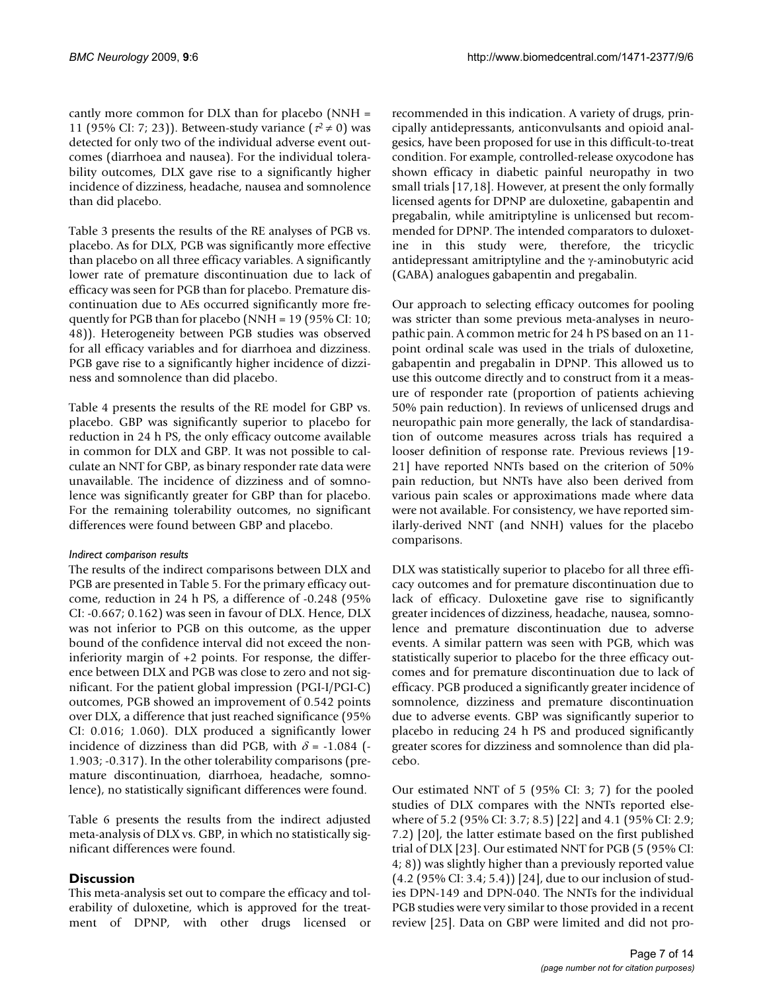cantly more common for DLX than for placebo (NNH = 11 (95% CI: 7; 23)). Between-study variance ( $\tau^2 \neq 0$ ) was detected for only two of the individual adverse event outcomes (diarrhoea and nausea). For the individual tolerability outcomes, DLX gave rise to a significantly higher incidence of dizziness, headache, nausea and somnolence than did placebo.

Table 3 presents the results of the RE analyses of PGB vs. placebo. As for DLX, PGB was significantly more effective than placebo on all three efficacy variables. A significantly lower rate of premature discontinuation due to lack of efficacy was seen for PGB than for placebo. Premature discontinuation due to AEs occurred significantly more frequently for PGB than for placebo (NNH = 19 (95% CI: 10; 48)). Heterogeneity between PGB studies was observed for all efficacy variables and for diarrhoea and dizziness. PGB gave rise to a significantly higher incidence of dizziness and somnolence than did placebo.

Table 4 presents the results of the RE model for GBP vs. placebo. GBP was significantly superior to placebo for reduction in 24 h PS, the only efficacy outcome available in common for DLX and GBP. It was not possible to calculate an NNT for GBP, as binary responder rate data were unavailable. The incidence of dizziness and of somnolence was significantly greater for GBP than for placebo. For the remaining tolerability outcomes, no significant differences were found between GBP and placebo.

# *Indirect comparison results*

The results of the indirect comparisons between DLX and PGB are presented in Table 5. For the primary efficacy outcome, reduction in 24 h PS, a difference of -0.248 (95% CI: -0.667; 0.162) was seen in favour of DLX. Hence, DLX was not inferior to PGB on this outcome, as the upper bound of the confidence interval did not exceed the noninferiority margin of +2 points. For response, the difference between DLX and PGB was close to zero and not significant. For the patient global impression (PGI-I/PGI-C) outcomes, PGB showed an improvement of 0.542 points over DLX, a difference that just reached significance (95% CI: 0.016; 1.060). DLX produced a significantly lower incidence of dizziness than did PGB, with  $\delta$  = -1.084 (-1.903; -0.317). In the other tolerability comparisons (premature discontinuation, diarrhoea, headache, somnolence), no statistically significant differences were found.

Table 6 presents the results from the indirect adjusted meta-analysis of DLX vs. GBP, in which no statistically significant differences were found.

# **Discussion**

This meta-analysis set out to compare the efficacy and tolerability of duloxetine, which is approved for the treatment of DPNP, with other drugs licensed or recommended in this indication. A variety of drugs, principally antidepressants, anticonvulsants and opioid analgesics, have been proposed for use in this difficult-to-treat condition. For example, controlled-release oxycodone has shown efficacy in diabetic painful neuropathy in two small trials [17,18]. However, at present the only formally licensed agents for DPNP are duloxetine, gabapentin and pregabalin, while amitriptyline is unlicensed but recommended for DPNP. The intended comparators to duloxetine in this study were, therefore, the tricyclic antidepressant amitriptyline and the γ-aminobutyric acid (GABA) analogues gabapentin and pregabalin.

Our approach to selecting efficacy outcomes for pooling was stricter than some previous meta-analyses in neuropathic pain. A common metric for 24 h PS based on an 11 point ordinal scale was used in the trials of duloxetine, gabapentin and pregabalin in DPNP. This allowed us to use this outcome directly and to construct from it a measure of responder rate (proportion of patients achieving 50% pain reduction). In reviews of unlicensed drugs and neuropathic pain more generally, the lack of standardisation of outcome measures across trials has required a looser definition of response rate. Previous reviews [19- 21] have reported NNTs based on the criterion of 50% pain reduction, but NNTs have also been derived from various pain scales or approximations made where data were not available. For consistency, we have reported similarly-derived NNT (and NNH) values for the placebo comparisons.

DLX was statistically superior to placebo for all three efficacy outcomes and for premature discontinuation due to lack of efficacy. Duloxetine gave rise to significantly greater incidences of dizziness, headache, nausea, somnolence and premature discontinuation due to adverse events. A similar pattern was seen with PGB, which was statistically superior to placebo for the three efficacy outcomes and for premature discontinuation due to lack of efficacy. PGB produced a significantly greater incidence of somnolence, dizziness and premature discontinuation due to adverse events. GBP was significantly superior to placebo in reducing 24 h PS and produced significantly greater scores for dizziness and somnolence than did placebo.

Our estimated NNT of 5 (95% CI: 3; 7) for the pooled studies of DLX compares with the NNTs reported elsewhere of 5.2 (95% CI: 3.7; 8.5) [22] and 4.1 (95% CI: 2.9; 7.2) [20], the latter estimate based on the first published trial of DLX [23]. Our estimated NNT for PGB (5 (95% CI: 4; 8)) was slightly higher than a previously reported value (4.2 (95% CI: 3.4; 5.4)) [24], due to our inclusion of studies DPN-149 and DPN-040. The NNTs for the individual PGB studies were very similar to those provided in a recent review [25]. Data on GBP were limited and did not pro-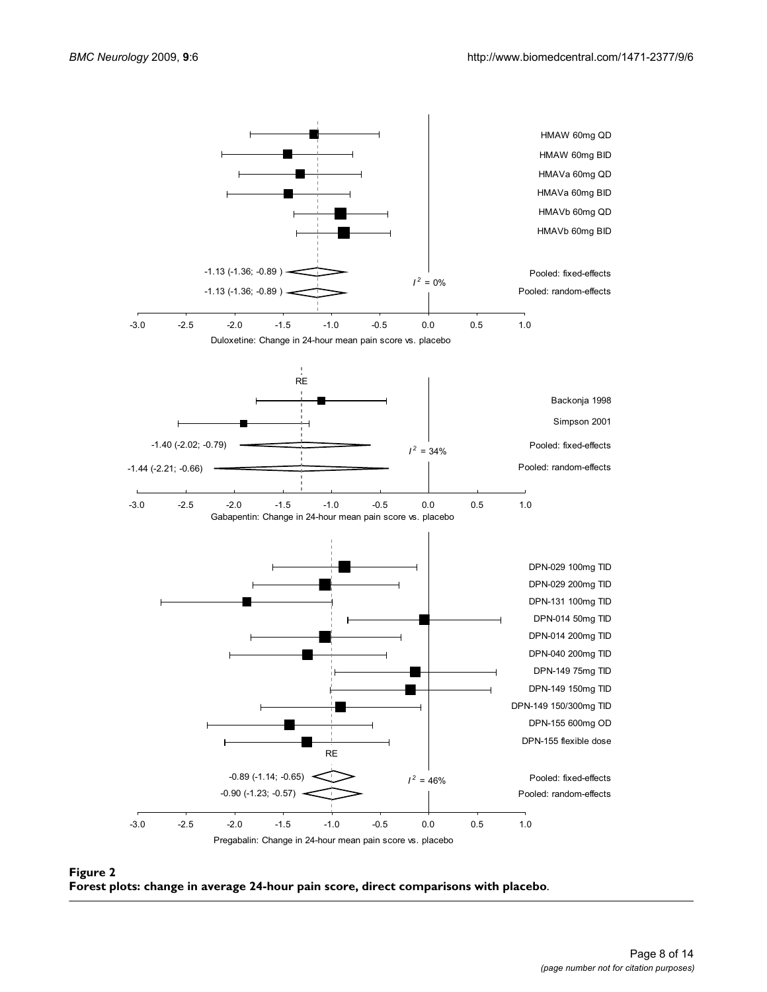

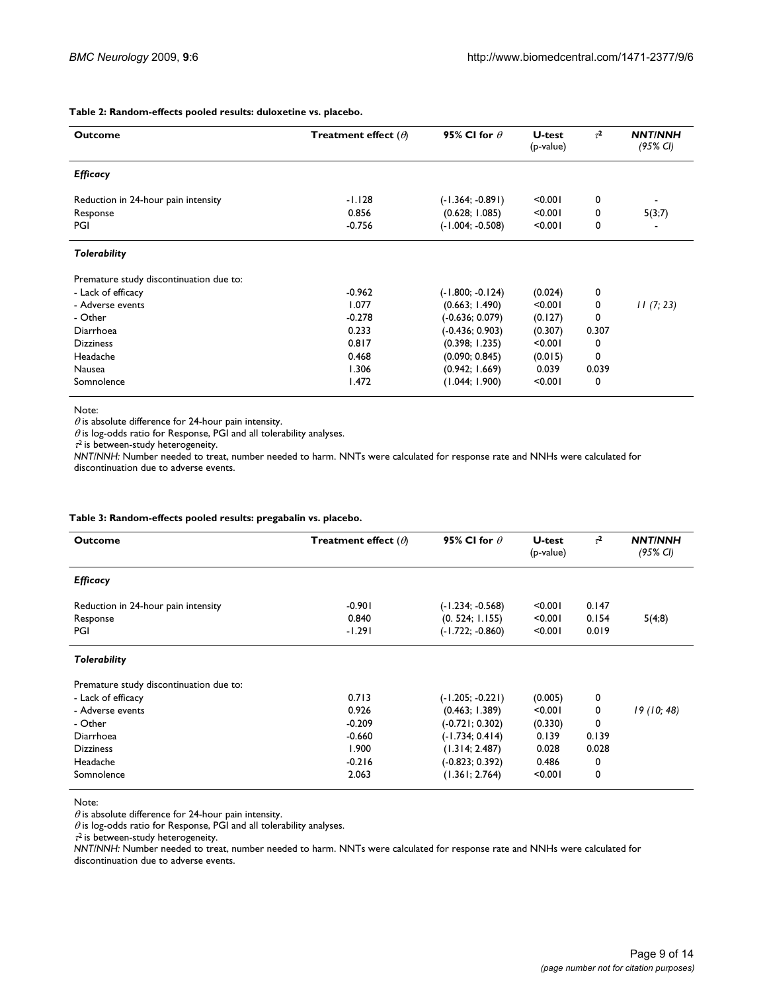#### **Table 2: Random-effects pooled results: duloxetine vs. placebo.**

| <b>Outcome</b>                          | Treatment effect ( $\theta$ ) | 95% CI for $\theta$ | U-test<br>(p-value) | $\tau^2$ | <b>NNT/NNH</b><br>$(95\% \text{ Cl})$ |
|-----------------------------------------|-------------------------------|---------------------|---------------------|----------|---------------------------------------|
| <b>Efficacy</b>                         |                               |                     |                     |          |                                       |
| Reduction in 24-hour pain intensity     | $-1.128$                      | $(-1.364; -0.891)$  | < 0.001             | 0        |                                       |
| Response                                | 0.856                         | (0.628; 1.085)      | < 0.001             | 0        | 5(3;7)                                |
| PGI                                     | $-0.756$                      | $(-1.004; -0.508)$  | < 0.001             | 0        |                                       |
| Tolerability                            |                               |                     |                     |          |                                       |
| Premature study discontinuation due to: |                               |                     |                     |          |                                       |
| - Lack of efficacy                      | $-0.962$                      | $(-1.800; -0.124)$  | (0.024)             | 0        |                                       |
| - Adverse events                        | 1.077                         | (0.663; 1.490)      | < 0.001             | 0        | 11(7; 23)                             |
| - Other                                 | $-0.278$                      | (-0.636; 0.079)     | (0.127)             | 0        |                                       |
| Diarrhoea                               | 0.233                         | (-0.436; 0.903)     | (0.307)             | 0.307    |                                       |
| <b>Dizziness</b>                        | 0.817                         | (0.398; 1.235)      | < 0.001             | 0        |                                       |
| Headache                                | 0.468                         | (0.090; 0.845)      | (0.015)             | 0        |                                       |
| Nausea                                  | 1.306                         | (0.942; 1.669)      | 0.039               | 0.039    |                                       |
| Somnolence                              | 1.472                         | (1.044; 1.900)      | <0.001              | 0        |                                       |

Note:

 $\theta$  is absolute difference for 24-hour pain intensity.

 $\theta$  is log-odds ratio for Response, PGI and all tolerability analyses.

 $\tau^2$  is between-study heterogeneity.

*NNT/NNH:* Number needed to treat, number needed to harm. NNTs were calculated for response rate and NNHs were calculated for discontinuation due to adverse events.

#### **Table 3: Random-effects pooled results: pregabalin vs. placebo.**

| <b>Outcome</b>                          | Treatment effect ( $\theta$ ) | 95% CI for $\theta$ | U-test    | $\tau^2$ | <b>NNT/NNH</b>        |
|-----------------------------------------|-------------------------------|---------------------|-----------|----------|-----------------------|
|                                         |                               |                     | (p-value) |          | $(95\% \, \text{Cl})$ |
|                                         |                               |                     |           |          |                       |
| <b>Efficacy</b>                         |                               |                     |           |          |                       |
| Reduction in 24-hour pain intensity     | $-0.901$                      | (-1.234; -0.568)    | < 0.001   | 0.147    |                       |
| Response                                | 0.840                         | (0.524; 1.155)      | < 0.001   | 0.154    | 5(4;8)                |
| PGI                                     | $-1.291$                      | (-1.722; -0.860)    | < 0.001   | 0.019    |                       |
|                                         |                               |                     |           |          |                       |
| Tolerability                            |                               |                     |           |          |                       |
| Premature study discontinuation due to: |                               |                     |           |          |                       |
| - Lack of efficacy                      | 0.713                         | (-1.205; -0.221)    | (0.005)   | 0        |                       |
| - Adverse events                        | 0.926                         | (0.463; 1.389)      | < 0.001   | 0        | 19(10; 48)            |
| - Other                                 | $-0.209$                      | (-0.721; 0.302)     | (0.330)   | 0        |                       |
| Diarrhoea                               | $-0.660$                      | $(-1.734; 0.414)$   | 0.139     | 0.139    |                       |
| <b>Dizziness</b>                        | 1.900                         | (1.314; 2.487)      | 0.028     | 0.028    |                       |
| Headache                                | $-0.216$                      | (-0.823; 0.392)     | 0.486     | 0        |                       |
| Somnolence                              | 2.063                         | (1.361; 2.764)      | < 0.001   | 0        |                       |

Note:

 $\theta$  is absolute difference for 24-hour pain intensity.

 $\theta$  is log-odds ratio for Response, PGI and all tolerability analyses.

 $\tau^2$  is between-study heterogeneity.

*NNT/NNH:* Number needed to treat, number needed to harm. NNTs were calculated for response rate and NNHs were calculated for discontinuation due to adverse events.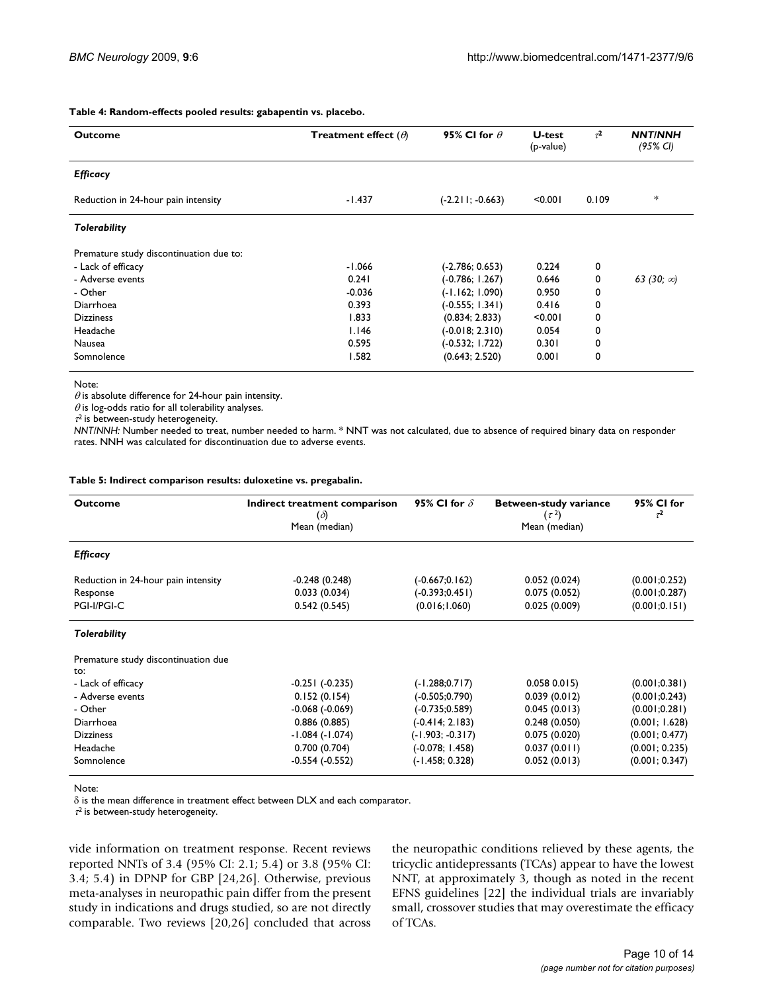#### **Table 4: Random-effects pooled results: gabapentin vs. placebo.**

| <b>Outcome</b>                          | Treatment effect ( $\theta$ ) | 95% CI for $\theta$ | U-test<br>(p-value) | $\tau^2$ | <b>NNT/NNH</b><br>$(95\% \, \text{Cl})$ |
|-----------------------------------------|-------------------------------|---------------------|---------------------|----------|-----------------------------------------|
| <b>Efficacy</b>                         |                               |                     |                     |          |                                         |
| Reduction in 24-hour pain intensity     | $-1.437$                      | $(-2.211; -0.663)$  | < 0.001             | 0.109    | $*$                                     |
| Tolerability                            |                               |                     |                     |          |                                         |
| Premature study discontinuation due to: |                               |                     |                     |          |                                         |
| - Lack of efficacy                      | $-1.066$                      | (-2.786; 0.653)     | 0.224               | 0        |                                         |
| - Adverse events                        | 0.241                         | (-0.786; 1.267)     | 0.646               | 0        | 63 (30; $\infty$ )                      |
| - Other                                 | $-0.036$                      | (-1.162; 1.090)     | 0.950               | 0        |                                         |
| Diarrhoea                               | 0.393                         | (-0.555; 1.341)     | 0.416               | 0        |                                         |
| <b>Dizziness</b>                        | 1.833                         | (0.834; 2.833)      | < 0.001             | 0        |                                         |
| Headache                                | 1.146                         | (-0.018; 2.310)     | 0.054               | 0        |                                         |
| Nausea                                  | 0.595                         | (-0.532; 1.722)     | 0.301               | 0        |                                         |
| Somnolence                              | 1.582                         | (0.643; 2.520)      | 0.001               | 0        |                                         |

Note:

 $\theta$  is absolute difference for 24-hour pain intensity.

 $\theta$  is log-odds ratio for all tolerability analyses.

 $\tau^2$  is between-study heterogeneity.

*NNT/NNH:* Number needed to treat, number needed to harm. \* NNT was not calculated, due to absence of required binary data on responder rates. NNH was calculated for discontinuation due to adverse events.

#### **Table 5: Indirect comparison results: duloxetine vs. pregabalin.**

| <b>Outcome</b>                                                 | Indirect treatment comparison<br>$(\delta)$<br>Mean (median) | 95% CI for $\delta$                                  | <b>Between-study variance</b><br>$(\tau^2)$<br>Mean (median) | 95% CI for<br>$\tau^2$                            |
|----------------------------------------------------------------|--------------------------------------------------------------|------------------------------------------------------|--------------------------------------------------------------|---------------------------------------------------|
| <b>Efficacy</b>                                                |                                                              |                                                      |                                                              |                                                   |
| Reduction in 24-hour pain intensity<br>Response<br>PGI-I/PGI-C | $-0.248(0.248)$<br>0.033(0.034)<br>0.542(0.545)              | $(-0.667;0.162)$<br>(-0.393;0.451)<br>(0.016; 1.060) | 0.052(0.024)<br>0.075(0.052)<br>0.025(0.009)                 | (0.001; 0.252)<br>(0.001; 0.287)<br>(0.001;0.151) |
| Tolerability                                                   |                                                              |                                                      |                                                              |                                                   |
| Premature study discontinuation due<br>to:                     |                                                              |                                                      |                                                              |                                                   |
| - Lack of efficacy                                             | $-0.251(-0.235)$                                             | (-1.288;0.717)                                       | 0.0580.015                                                   | (0.001; 0.381)                                    |
| - Adverse events                                               | 0.152(0.154)                                                 | (-0.505;0.790)                                       | 0.039(0.012)                                                 | (0.001; 0.243)                                    |
| - Other                                                        | $-0.068(-0.069)$                                             | (-0.735;0.589)                                       | 0.045(0.013)                                                 | (0.001; 0.281)                                    |
| Diarrhoea                                                      | 0.886(0.885)                                                 | (-0.414; 2.183)                                      | 0.248(0.050)                                                 | (0.001; 1.628)                                    |
| <b>Dizziness</b>                                               | $-1.084$ $(-1.074)$                                          | $(-1.903; -0.317)$                                   | 0.075(0.020)                                                 | (0.001; 0.477)                                    |
| Headache                                                       | 0.700(0.704)                                                 | (-0.078; 1.458)                                      | 0.037(0.011)                                                 | (0.001; 0.235)                                    |
| Somnolence                                                     | $-0.554(-0.552)$                                             | $(-1.458; 0.328)$                                    | 0.052(0.013)                                                 | (0.001; 0.347)                                    |

Note:

δ is the mean difference in treatment effect between DLX and each comparator.

 $\tau^2$  is between-study heterogeneity.

vide information on treatment response. Recent reviews reported NNTs of 3.4 (95% CI: 2.1; 5.4) or 3.8 (95% CI: 3.4; 5.4) in DPNP for GBP [24,26]. Otherwise, previous meta-analyses in neuropathic pain differ from the present study in indications and drugs studied, so are not directly comparable. Two reviews [20,26] concluded that across

the neuropathic conditions relieved by these agents, the tricyclic antidepressants (TCAs) appear to have the lowest NNT, at approximately 3, though as noted in the recent EFNS guidelines [22] the individual trials are invariably small, crossover studies that may overestimate the efficacy of TCAs.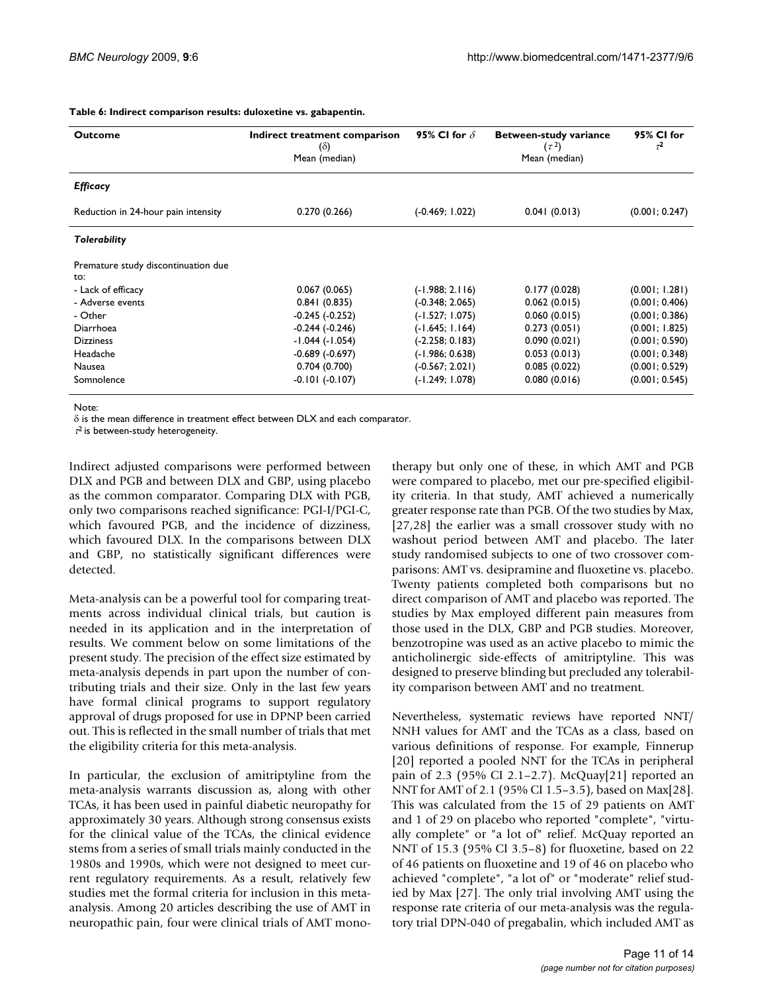| <b>Outcome</b>                             | Indirect treatment comparison<br>$(\delta)$<br>Mean (median) | 95% CI for $\delta$ | <b>Between-study variance</b><br>$(\tau^2)$<br>Mean (median) | 95% CI for<br>$\tau^2$ |
|--------------------------------------------|--------------------------------------------------------------|---------------------|--------------------------------------------------------------|------------------------|
| <b>Efficacy</b>                            |                                                              |                     |                                                              |                        |
| Reduction in 24-hour pain intensity        | 0.270(0.266)                                                 | $(-0.469; 1.022)$   | 0.041(0.013)                                                 | (0.001; 0.247)         |
| Tolerability                               |                                                              |                     |                                                              |                        |
| Premature study discontinuation due<br>to: |                                                              |                     |                                                              |                        |
| - Lack of efficacy                         | 0.067(0.065)                                                 | $(-1.988; 2.116)$   | 0.177(0.028)                                                 | (0.001; 1.281)         |
| - Adverse events                           | 0.841(0.835)                                                 | $(-0.348; 2.065)$   | 0.062(0.015)                                                 | (0.001; 0.406)         |
| - Other                                    | $-0.245(-0.252)$                                             | $(-1.527; 1.075)$   | 0.060(0.015)                                                 | (0.001; 0.386)         |
| Diarrhoea                                  | $-0.244(-0.246)$                                             | $(-1.645; 1.164)$   | 0.273(0.051)                                                 | (0.001; 1.825)         |
| <b>Dizziness</b>                           | $-1.044$ $(-1.054)$                                          | $(-2.258; 0.183)$   | 0.090(0.021)                                                 | (0.001; 0.590)         |
| Headache                                   | $-0.689(-0.697)$                                             | $(-1.986; 0.638)$   | 0.053(0.013)                                                 | (0.001; 0.348)         |
| Nausea                                     | 0.704(0.700)                                                 | $(-0.567; 2.021)$   | 0.085(0.022)                                                 | (0.001; 0.529)         |
| Somnolence                                 | $-0.101(-0.107)$                                             | $(-1.249; 1.078)$   | 0.080(0.016)                                                 | (0.001; 0.545)         |

**Table 6: Indirect comparison results: duloxetine vs. gabapentin.**

Note:

δ is the mean difference in treatment effect between DLX and each comparator.

 $\tau^2$  is between-study heterogeneity.

Indirect adjusted comparisons were performed between DLX and PGB and between DLX and GBP, using placebo as the common comparator. Comparing DLX with PGB, only two comparisons reached significance: PGI-I/PGI-C, which favoured PGB, and the incidence of dizziness, which favoured DLX. In the comparisons between DLX and GBP, no statistically significant differences were detected.

Meta-analysis can be a powerful tool for comparing treatments across individual clinical trials, but caution is needed in its application and in the interpretation of results. We comment below on some limitations of the present study. The precision of the effect size estimated by meta-analysis depends in part upon the number of contributing trials and their size. Only in the last few years have formal clinical programs to support regulatory approval of drugs proposed for use in DPNP been carried out. This is reflected in the small number of trials that met the eligibility criteria for this meta-analysis.

In particular, the exclusion of amitriptyline from the meta-analysis warrants discussion as, along with other TCAs, it has been used in painful diabetic neuropathy for approximately 30 years. Although strong consensus exists for the clinical value of the TCAs, the clinical evidence stems from a series of small trials mainly conducted in the 1980s and 1990s, which were not designed to meet current regulatory requirements. As a result, relatively few studies met the formal criteria for inclusion in this metaanalysis. Among 20 articles describing the use of AMT in neuropathic pain, four were clinical trials of AMT monotherapy but only one of these, in which AMT and PGB were compared to placebo, met our pre-specified eligibility criteria. In that study, AMT achieved a numerically greater response rate than PGB. Of the two studies by Max, [27,28] the earlier was a small crossover study with no washout period between AMT and placebo. The later study randomised subjects to one of two crossover comparisons: AMT vs. desipramine and fluoxetine vs. placebo. Twenty patients completed both comparisons but no direct comparison of AMT and placebo was reported. The studies by Max employed different pain measures from those used in the DLX, GBP and PGB studies. Moreover, benzotropine was used as an active placebo to mimic the anticholinergic side-effects of amitriptyline. This was designed to preserve blinding but precluded any tolerability comparison between AMT and no treatment.

Nevertheless, systematic reviews have reported NNT/ NNH values for AMT and the TCAs as a class, based on various definitions of response. For example, Finnerup [20] reported a pooled NNT for the TCAs in peripheral pain of 2.3 (95% CI 2.1–2.7). McQuay[21] reported an NNT for AMT of 2.1 (95% CI 1.5–3.5), based on Max[28]. This was calculated from the 15 of 29 patients on AMT and 1 of 29 on placebo who reported "complete", "virtually complete" or "a lot of" relief. McQuay reported an NNT of 15.3 (95% CI 3.5–8) for fluoxetine, based on 22 of 46 patients on fluoxetine and 19 of 46 on placebo who achieved "complete", "a lot of" or "moderate" relief studied by Max [27]. The only trial involving AMT using the response rate criteria of our meta-analysis was the regulatory trial DPN-040 of pregabalin, which included AMT as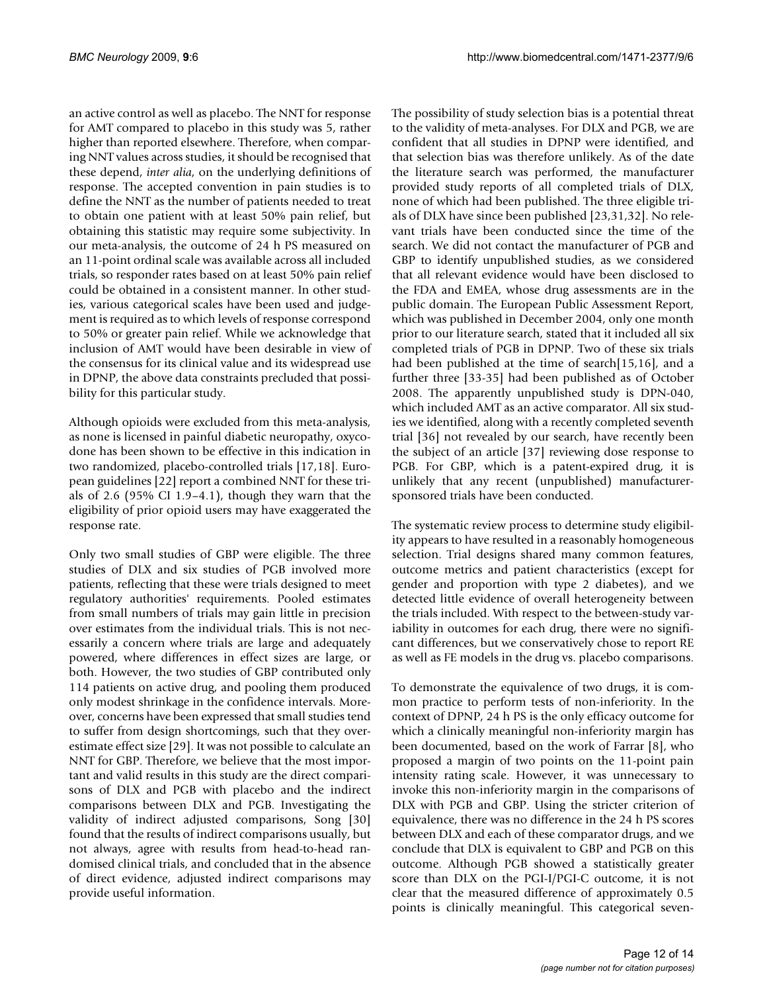an active control as well as placebo. The NNT for response for AMT compared to placebo in this study was 5, rather higher than reported elsewhere. Therefore, when comparing NNT values across studies, it should be recognised that these depend, *inter alia*, on the underlying definitions of response. The accepted convention in pain studies is to define the NNT as the number of patients needed to treat to obtain one patient with at least 50% pain relief, but obtaining this statistic may require some subjectivity. In our meta-analysis, the outcome of 24 h PS measured on an 11-point ordinal scale was available across all included trials, so responder rates based on at least 50% pain relief could be obtained in a consistent manner. In other studies, various categorical scales have been used and judgement is required as to which levels of response correspond to 50% or greater pain relief. While we acknowledge that inclusion of AMT would have been desirable in view of the consensus for its clinical value and its widespread use in DPNP, the above data constraints precluded that possibility for this particular study.

Although opioids were excluded from this meta-analysis, as none is licensed in painful diabetic neuropathy, oxycodone has been shown to be effective in this indication in two randomized, placebo-controlled trials [17,18]. European guidelines [22] report a combined NNT for these trials of 2.6 (95% CI 1.9–4.1), though they warn that the eligibility of prior opioid users may have exaggerated the response rate.

Only two small studies of GBP were eligible. The three studies of DLX and six studies of PGB involved more patients, reflecting that these were trials designed to meet regulatory authorities' requirements. Pooled estimates from small numbers of trials may gain little in precision over estimates from the individual trials. This is not necessarily a concern where trials are large and adequately powered, where differences in effect sizes are large, or both. However, the two studies of GBP contributed only 114 patients on active drug, and pooling them produced only modest shrinkage in the confidence intervals. Moreover, concerns have been expressed that small studies tend to suffer from design shortcomings, such that they overestimate effect size [29]. It was not possible to calculate an NNT for GBP. Therefore, we believe that the most important and valid results in this study are the direct comparisons of DLX and PGB with placebo and the indirect comparisons between DLX and PGB. Investigating the validity of indirect adjusted comparisons, Song [30] found that the results of indirect comparisons usually, but not always, agree with results from head-to-head randomised clinical trials, and concluded that in the absence of direct evidence, adjusted indirect comparisons may provide useful information.

The possibility of study selection bias is a potential threat to the validity of meta-analyses. For DLX and PGB, we are confident that all studies in DPNP were identified, and that selection bias was therefore unlikely. As of the date the literature search was performed, the manufacturer provided study reports of all completed trials of DLX, none of which had been published. The three eligible trials of DLX have since been published [23,31,32]. No relevant trials have been conducted since the time of the search. We did not contact the manufacturer of PGB and GBP to identify unpublished studies, as we considered that all relevant evidence would have been disclosed to the FDA and EMEA, whose drug assessments are in the public domain. The European Public Assessment Report, which was published in December 2004, only one month prior to our literature search, stated that it included all six completed trials of PGB in DPNP. Two of these six trials had been published at the time of search[15,16], and a further three [33-35] had been published as of October 2008. The apparently unpublished study is DPN-040, which included AMT as an active comparator. All six studies we identified, along with a recently completed seventh trial [36] not revealed by our search, have recently been the subject of an article [37] reviewing dose response to PGB. For GBP, which is a patent-expired drug, it is unlikely that any recent (unpublished) manufacturersponsored trials have been conducted.

The systematic review process to determine study eligibility appears to have resulted in a reasonably homogeneous selection. Trial designs shared many common features, outcome metrics and patient characteristics (except for gender and proportion with type 2 diabetes), and we detected little evidence of overall heterogeneity between the trials included. With respect to the between-study variability in outcomes for each drug, there were no significant differences, but we conservatively chose to report RE as well as FE models in the drug vs. placebo comparisons.

To demonstrate the equivalence of two drugs, it is common practice to perform tests of non-inferiority. In the context of DPNP, 24 h PS is the only efficacy outcome for which a clinically meaningful non-inferiority margin has been documented, based on the work of Farrar [8], who proposed a margin of two points on the 11-point pain intensity rating scale. However, it was unnecessary to invoke this non-inferiority margin in the comparisons of DLX with PGB and GBP. Using the stricter criterion of equivalence, there was no difference in the 24 h PS scores between DLX and each of these comparator drugs, and we conclude that DLX is equivalent to GBP and PGB on this outcome. Although PGB showed a statistically greater score than DLX on the PGI-I/PGI-C outcome, it is not clear that the measured difference of approximately 0.5 points is clinically meaningful. This categorical seven-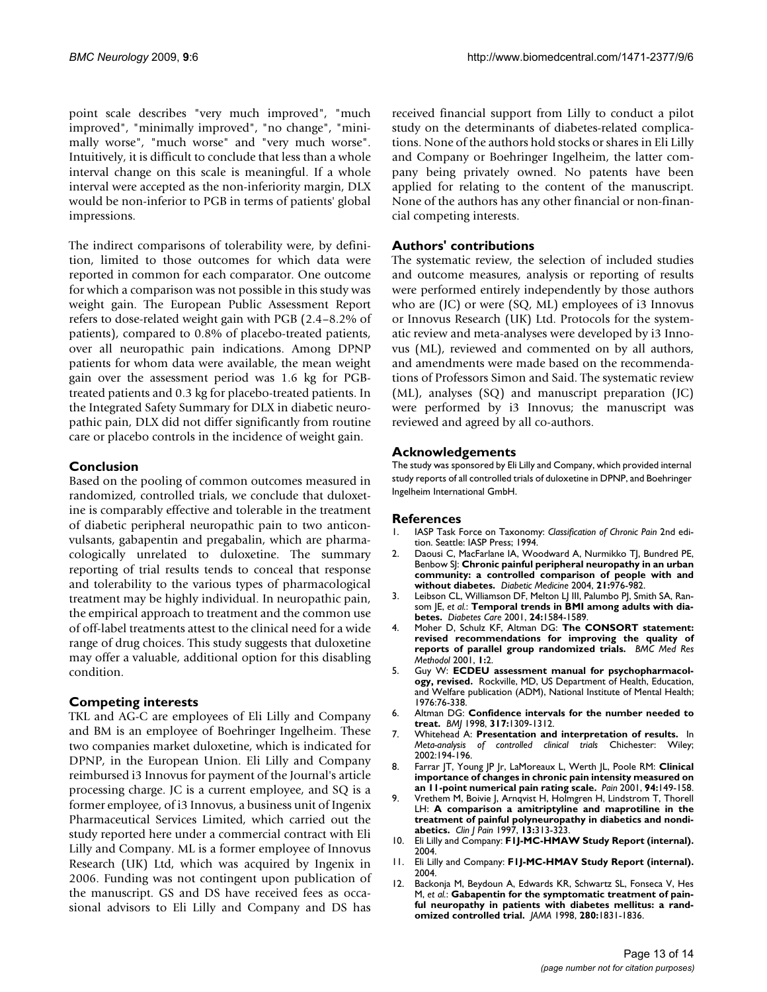point scale describes "very much improved", "much improved", "minimally improved", "no change", "minimally worse", "much worse" and "very much worse". Intuitively, it is difficult to conclude that less than a whole interval change on this scale is meaningful. If a whole interval were accepted as the non-inferiority margin, DLX would be non-inferior to PGB in terms of patients' global impressions.

The indirect comparisons of tolerability were, by definition, limited to those outcomes for which data were reported in common for each comparator. One outcome for which a comparison was not possible in this study was weight gain. The European Public Assessment Report refers to dose-related weight gain with PGB (2.4–8.2% of patients), compared to 0.8% of placebo-treated patients, over all neuropathic pain indications. Among DPNP patients for whom data were available, the mean weight gain over the assessment period was 1.6 kg for PGBtreated patients and 0.3 kg for placebo-treated patients. In the Integrated Safety Summary for DLX in diabetic neuropathic pain, DLX did not differ significantly from routine care or placebo controls in the incidence of weight gain.

### **Conclusion**

Based on the pooling of common outcomes measured in randomized, controlled trials, we conclude that duloxetine is comparably effective and tolerable in the treatment of diabetic peripheral neuropathic pain to two anticonvulsants, gabapentin and pregabalin, which are pharmacologically unrelated to duloxetine. The summary reporting of trial results tends to conceal that response and tolerability to the various types of pharmacological treatment may be highly individual. In neuropathic pain, the empirical approach to treatment and the common use of off-label treatments attest to the clinical need for a wide range of drug choices. This study suggests that duloxetine may offer a valuable, additional option for this disabling condition.

#### **Competing interests**

TKL and AG-C are employees of Eli Lilly and Company and BM is an employee of Boehringer Ingelheim. These two companies market duloxetine, which is indicated for DPNP, in the European Union. Eli Lilly and Company reimbursed i3 Innovus for payment of the Journal's article processing charge. JC is a current employee, and SQ is a former employee, of i3 Innovus, a business unit of Ingenix Pharmaceutical Services Limited, which carried out the study reported here under a commercial contract with Eli Lilly and Company. ML is a former employee of Innovus Research (UK) Ltd, which was acquired by Ingenix in 2006. Funding was not contingent upon publication of the manuscript. GS and DS have received fees as occasional advisors to Eli Lilly and Company and DS has received financial support from Lilly to conduct a pilot study on the determinants of diabetes-related complications. None of the authors hold stocks or shares in Eli Lilly and Company or Boehringer Ingelheim, the latter company being privately owned. No patents have been applied for relating to the content of the manuscript. None of the authors has any other financial or non-financial competing interests.

#### **Authors' contributions**

The systematic review, the selection of included studies and outcome measures, analysis or reporting of results were performed entirely independently by those authors who are (JC) or were (SQ, ML) employees of i3 Innovus or Innovus Research (UK) Ltd. Protocols for the systematic review and meta-analyses were developed by i3 Innovus (ML), reviewed and commented on by all authors, and amendments were made based on the recommendations of Professors Simon and Said. The systematic review (ML), analyses (SQ) and manuscript preparation (JC) were performed by i3 Innovus; the manuscript was reviewed and agreed by all co-authors.

#### **Acknowledgements**

The study was sponsored by Eli Lilly and Company, which provided internal study reports of all controlled trials of duloxetine in DPNP, and Boehringer Ingelheim International GmbH.

#### **References**

- 1. IASP Task Force on Taxonomy: *Classification of Chronic Pain* 2nd edition. Seattle: IASP Press; 1994.
- 2. Daousi C, MacFarlane IA, Woodward A, Nurmikko TJ, Bundred PE, Benbow SJ: **[Chronic painful peripheral neuropathy in an urban](http://www.ncbi.nlm.nih.gov/entrez/query.fcgi?cmd=Retrieve&db=PubMed&dopt=Abstract&list_uids=15317601) [community: a controlled comparison of people with and](http://www.ncbi.nlm.nih.gov/entrez/query.fcgi?cmd=Retrieve&db=PubMed&dopt=Abstract&list_uids=15317601) [without diabetes.](http://www.ncbi.nlm.nih.gov/entrez/query.fcgi?cmd=Retrieve&db=PubMed&dopt=Abstract&list_uids=15317601)** *Diabetic Medicine* 2004, **21:**976-982.
- 3. Leibson CL, Williamson DF, Melton LJ III, Palumbo PJ, Smith SA, Ransom JE, *et al.*: **[Temporal trends in BMI among adults with dia](http://www.ncbi.nlm.nih.gov/entrez/query.fcgi?cmd=Retrieve&db=PubMed&dopt=Abstract&list_uids=11522703)[betes.](http://www.ncbi.nlm.nih.gov/entrez/query.fcgi?cmd=Retrieve&db=PubMed&dopt=Abstract&list_uids=11522703)** *Diabetes Care* 2001, **24:**1584-1589.
- 4. Moher D, Schulz KF, Altman DG: **[The CONSORT statement:](http://www.ncbi.nlm.nih.gov/entrez/query.fcgi?cmd=Retrieve&db=PubMed&dopt=Abstract&list_uids=11336663) [revised recommendations for improving the quality of](http://www.ncbi.nlm.nih.gov/entrez/query.fcgi?cmd=Retrieve&db=PubMed&dopt=Abstract&list_uids=11336663) [reports of parallel group randomized trials.](http://www.ncbi.nlm.nih.gov/entrez/query.fcgi?cmd=Retrieve&db=PubMed&dopt=Abstract&list_uids=11336663)** *BMC Med Res Methodol* 2001, **1:**2.
- 5. Guy W: **ECDEU assessment manual for psychopharmacology, revised.** Rockville, MD, US Department of Health, Education, and Welfare publication (ADM), National Institute of Mental Health; 1976:76-338.
- 6. Altman DG: **[Confidence intervals for the number needed to](http://www.ncbi.nlm.nih.gov/entrez/query.fcgi?cmd=Retrieve&db=PubMed&dopt=Abstract&list_uids=9804726) [treat.](http://www.ncbi.nlm.nih.gov/entrez/query.fcgi?cmd=Retrieve&db=PubMed&dopt=Abstract&list_uids=9804726)** *BMJ* 1998, **317:**1309-1312.
- 7. Whitehead A: **Presentation and interpretation of results.** In controlled clinical trials Chichester: Wiley; 2002:194-196.
- 8. Farrar JT, Young JP Jr, LaMoreaux L, Werth JL, Poole RM: **[Clinical](http://www.ncbi.nlm.nih.gov/entrez/query.fcgi?cmd=Retrieve&db=PubMed&dopt=Abstract&list_uids=11690728) [importance of changes in chronic pain intensity measured on](http://www.ncbi.nlm.nih.gov/entrez/query.fcgi?cmd=Retrieve&db=PubMed&dopt=Abstract&list_uids=11690728) [an 11-point numerical pain rating scale.](http://www.ncbi.nlm.nih.gov/entrez/query.fcgi?cmd=Retrieve&db=PubMed&dopt=Abstract&list_uids=11690728)** *Pain* 2001, **94:**149-158.
- 9. Vrethem M, Boivie J, Arnqvist H, Holmgren H, Lindstrom T, Thorell LH: **[A comparison a amitriptyline and maprotiline in the](http://www.ncbi.nlm.nih.gov/entrez/query.fcgi?cmd=Retrieve&db=PubMed&dopt=Abstract&list_uids=9430812) [treatment of painful polyneuropathy in diabetics and nondi](http://www.ncbi.nlm.nih.gov/entrez/query.fcgi?cmd=Retrieve&db=PubMed&dopt=Abstract&list_uids=9430812)[abetics.](http://www.ncbi.nlm.nih.gov/entrez/query.fcgi?cmd=Retrieve&db=PubMed&dopt=Abstract&list_uids=9430812)** *Clin J Pain* 1997, **13:**313-323.
- 10. Eli Lilly and Company: **F1J-MC-HMAW Study Report (internal).** 2004.
- 11. Eli Lilly and Company: **F1J-MC-HMAV Study Report (internal).** 2004.
- 12. Backonja M, Beydoun A, Edwards KR, Schwartz SL, Fonseca V, Hes M, *et al.*: **[Gabapentin for the symptomatic treatment of pain](http://www.ncbi.nlm.nih.gov/entrez/query.fcgi?cmd=Retrieve&db=PubMed&dopt=Abstract&list_uids=9846777)[ful neuropathy in patients with diabetes mellitus: a rand](http://www.ncbi.nlm.nih.gov/entrez/query.fcgi?cmd=Retrieve&db=PubMed&dopt=Abstract&list_uids=9846777)[omized controlled trial.](http://www.ncbi.nlm.nih.gov/entrez/query.fcgi?cmd=Retrieve&db=PubMed&dopt=Abstract&list_uids=9846777)** *JAMA* 1998, **280:**1831-1836.